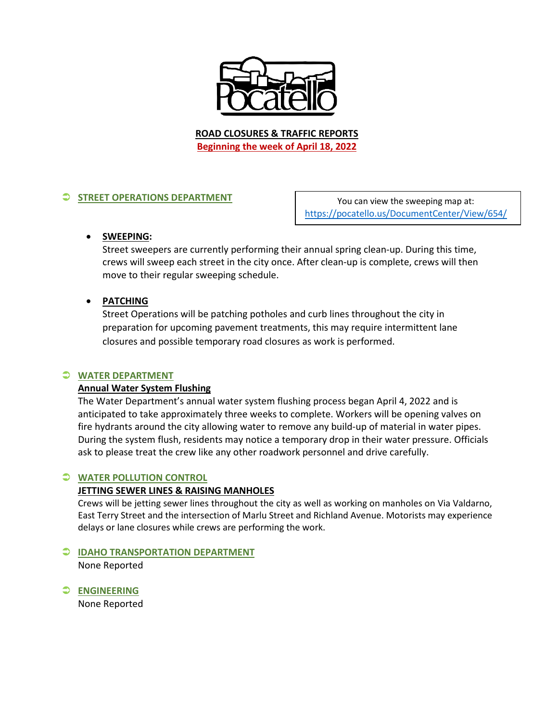

**ROAD CLOSURES & TRAFFIC REPORTS Beginning the week of April 18, 2022**

# **STREET OPERATIONS DEPARTMENT**

You can view the sweeping map at: <https://pocatello.us/DocumentCenter/View/654/>

## • **SWEEPING:**

Street sweepers are currently performing their annual spring clean-up. During this time, crews will sweep each street in the city once. After clean-up is complete, crews will then move to their regular sweeping schedule.

## • **PATCHING**

Street Operations will be patching potholes and curb lines throughout the city in preparation for upcoming pavement treatments, this may require intermittent lane closures and possible temporary road closures as work is performed.

## **WATER DEPARTMENT**

## **Annual Water System Flushing**

The Water Department's annual water system flushing process began April 4, 2022 and is anticipated to take approximately three weeks to complete. Workers will be opening valves on fire hydrants around the city allowing water to remove any build-up of material in water pipes. During the system flush, residents may notice a temporary drop in their water pressure. Officials ask to please treat the crew like any other roadwork personnel and drive carefully.

## **WATER POLLUTION CONTROL**

#### **JETTING SEWER LINES & RAISING MANHOLES**

Crews will be jetting sewer lines throughout the city as well as working on manholes on Via Valdarno, East Terry Street and the intersection of Marlu Street and Richland Avenue. Motorists may experience delays or lane closures while crews are performing the work.

#### **IDAHO TRANSPORTATION DEPARTMENT**

None Reported

**ENGINEERING**

None Reported